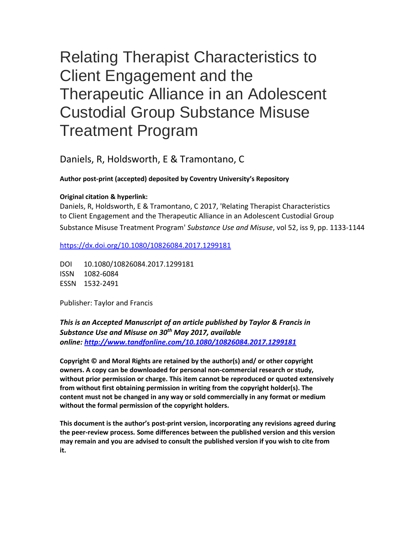# Relating Therapist Characteristics to Client Engagement and the Therapeutic Alliance in an Adolescent Custodial Group Substance Misuse Treatment Program

Daniels, R, Holdsworth, E & Tramontano, C

# **Author post-print (accepted) deposited by Coventry University's Repository**

# **Original citation & hyperlink:**

Daniels, R, Holdsworth, E & Tramontano, C 2017, 'Relating Therapist Characteristics to Client Engagement and the Therapeutic Alliance in an Adolescent Custodial Group Substance Misuse Treatment Program' *Substance Use and Misuse*, vol 52, iss 9, pp. 1133-1144

<https://dx.doi.org/10.1080/10826084.2017.1299181>

DOI 10.1080/10826084.2017.1299181 ISSN 1082-6084 ESSN 1532-2491

Publisher: Taylor and Francis

*This is an Accepted Manuscript of an article published by Taylor & Francis in Substance Use and Misuse on 30th May 2017, available online: [http://www.tandfonline.com/1](http://www.tandfonline.com/)0.1080/10826084.2017.1299181*

**Copyright © and Moral Rights are retained by the author(s) and/ or other copyright owners. A copy can be downloaded for personal non-commercial research or study, without prior permission or charge. This item cannot be reproduced or quoted extensively from without first obtaining permission in writing from the copyright holder(s). The content must not be changed in any way or sold commercially in any format or medium without the formal permission of the copyright holders.** 

**This document is the author's post-print version, incorporating any revisions agreed during the peer-review process. Some differences between the published version and this version may remain and you are advised to consult the published version if you wish to cite from it.**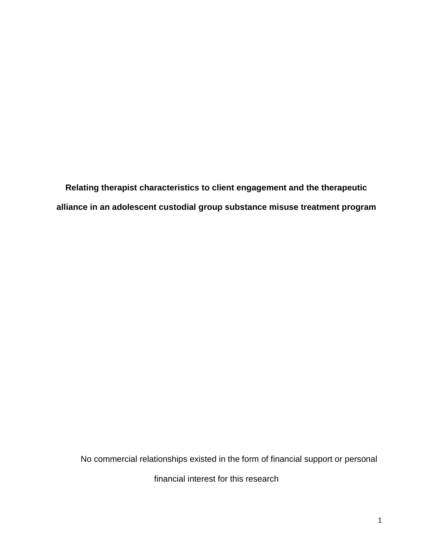**Relating therapist characteristics to client engagement and the therapeutic alliance in an adolescent custodial group substance misuse treatment program**

No commercial relationships existed in the form of financial support or personal

financial interest for this research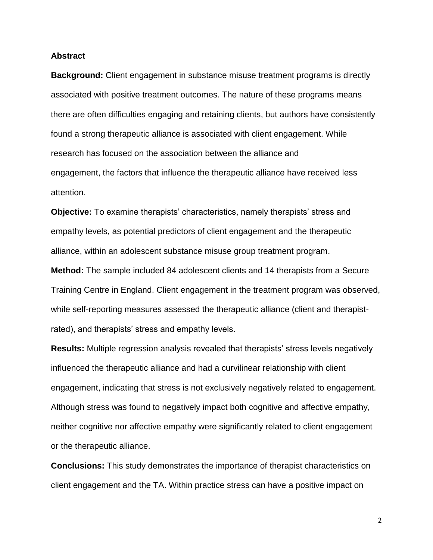#### **Abstract**

**Background:** Client engagement in substance misuse treatment programs is directly associated with positive treatment outcomes. The nature of these programs means there are often difficulties engaging and retaining clients, but authors have consistently found a strong therapeutic alliance is associated with client engagement. While research has focused on the association between the alliance and engagement, the factors that influence the therapeutic alliance have received less attention.

**Objective:** To examine therapists' characteristics, namely therapists' stress and empathy levels, as potential predictors of client engagement and the therapeutic alliance, within an adolescent substance misuse group treatment program.

**Method:** The sample included 84 adolescent clients and 14 therapists from a Secure Training Centre in England. Client engagement in the treatment program was observed, while self-reporting measures assessed the therapeutic alliance (client and therapistrated), and therapists' stress and empathy levels.

**Results:** Multiple regression analysis revealed that therapists' stress levels negatively influenced the therapeutic alliance and had a curvilinear relationship with client engagement, indicating that stress is not exclusively negatively related to engagement. Although stress was found to negatively impact both cognitive and affective empathy, neither cognitive nor affective empathy were significantly related to client engagement or the therapeutic alliance.

**Conclusions:** This study demonstrates the importance of therapist characteristics on client engagement and the TA. Within practice stress can have a positive impact on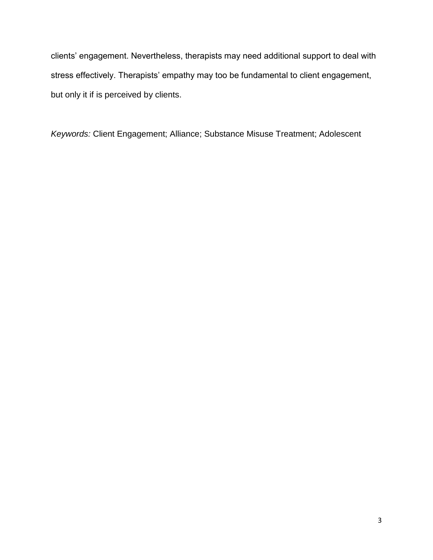clients' engagement. Nevertheless, therapists may need additional support to deal with stress effectively. Therapists' empathy may too be fundamental to client engagement, but only it if is perceived by clients.

*Keywords:* Client Engagement; Alliance; Substance Misuse Treatment; Adolescent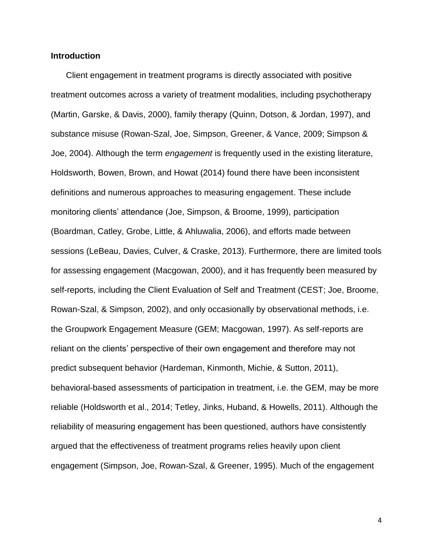## **Introduction <sup>i</sup>**

Client engagement in treatment programs is directly associated with positive treatment outcomes across a variety of treatment modalities, including psychotherapy (Martin, Garske, & Davis, 2000), family therapy (Quinn, Dotson, & Jordan, 1997), and substance misuse (Rowan-Szal, Joe, Simpson, Greener, & Vance, 2009; Simpson & Joe, 2004). Although the term *engagement* is frequently used in the existing literature, Holdsworth, Bowen, Brown, and Howat (2014) found there have been inconsistent definitions and numerous approaches to measuring engagement. These include monitoring clients' attendance (Joe, Simpson, & Broome, 1999), participation (Boardman, Catley, Grobe, Little, & Ahluwalia, 2006), and efforts made between sessions (LeBeau, Davies, Culver, & Craske, 2013). Furthermore, there are limited tools for assessing engagement (Macgowan, 2000), and it has frequently been measured by self-reports, including the Client Evaluation of Self and Treatment (CEST; Joe, Broome, Rowan-Szal, & Simpson, 2002), and only occasionally by observational methods, i.e. the Groupwork Engagement Measure (GEM; Macgowan, 1997). As self-reports are reliant on the clients' perspective of their own engagement and therefore may not predict subsequent behavior (Hardeman, Kinmonth, Michie, & Sutton, 2011), behavioral-based assessments of participation in treatment, i.e. the GEM, may be more reliable (Holdsworth et al., 2014; Tetley, Jinks, Huband, & Howells, 2011). Although the reliability of measuring engagement has been questioned, authors have consistently argued that the effectiveness of treatment programs relies heavily upon client engagement (Simpson, Joe, Rowan-Szal, & Greener, 1995). Much of the engagement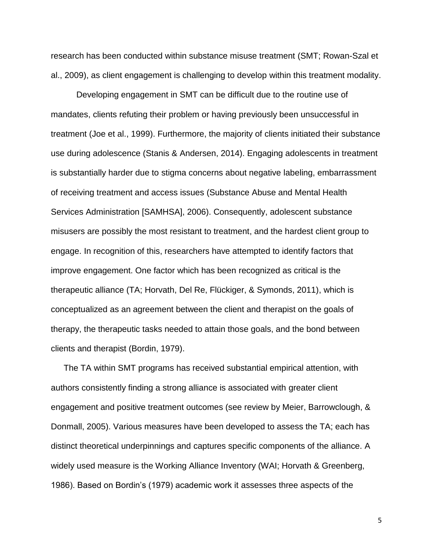research has been conducted within substance misuse treatment (SMT; Rowan-Szal et al., 2009), as client engagement is challenging to develop within this treatment modality.

Developing engagement in SMT can be difficult due to the routine use of mandates, clients refuting their problem or having previously been unsuccessful in treatment (Joe et al., 1999). Furthermore, the majority of clients initiated their substance use during adolescence (Stanis & Andersen, 2014). Engaging adolescents in treatment is substantially harder due to stigma concerns about negative labeling, embarrassment of receiving treatment and access issues (Substance Abuse and Mental Health Services Administration [SAMHSA], 2006). Consequently, adolescent substance misusers are possibly the most resistant to treatment, and the hardest client group to engage. In recognition of this, researchers have attempted to identify factors that improve engagement. One factor which has been recognized as critical is the therapeutic alliance (TA; Horvath, Del Re, Flückiger, & Symonds, 2011), which is conceptualized as an agreement between the client and therapist on the goals of therapy, the therapeutic tasks needed to attain those goals, and the bond between clients and therapist (Bordin, 1979).

The TA within SMT programs has received substantial empirical attention, with authors consistently finding a strong alliance is associated with greater client engagement and positive treatment outcomes (see review by Meier, Barrowclough, & Donmall, 2005). Various measures have been developed to assess the TA; each has distinct theoretical underpinnings and captures specific components of the alliance. A widely used measure is the Working Alliance Inventory (WAI; Horvath & Greenberg, 1986). Based on Bordin's (1979) academic work it assesses three aspects of the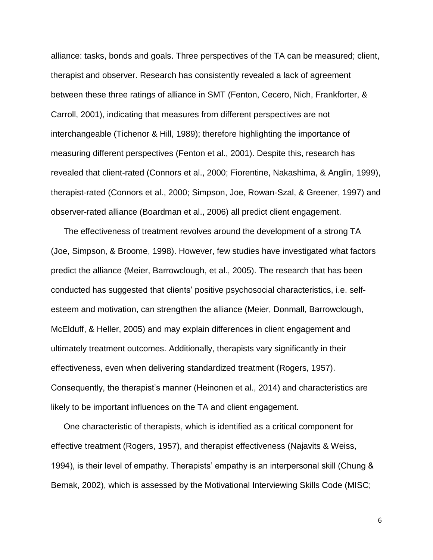alliance: tasks, bonds and goals. Three perspectives of the TA can be measured; client, therapist and observer. Research has consistently revealed a lack of agreement between these three ratings of alliance in SMT (Fenton, Cecero, Nich, Frankforter, & Carroll, 2001), indicating that measures from different perspectives are not interchangeable (Tichenor & Hill, 1989); therefore highlighting the importance of measuring different perspectives (Fenton et al., 2001). Despite this, research has revealed that client-rated (Connors et al., 2000; Fiorentine, Nakashima, & Anglin, 1999), therapist-rated (Connors et al., 2000; Simpson, Joe, Rowan-Szal, & Greener, 1997) and observer-rated alliance (Boardman et al., 2006) all predict client engagement.

The effectiveness of treatment revolves around the development of a strong TA (Joe, Simpson, & Broome, 1998). However, few studies have investigated what factors predict the alliance (Meier, Barrowclough, et al., 2005). The research that has been conducted has suggested that clients' positive psychosocial characteristics, i.e. selfesteem and motivation, can strengthen the alliance (Meier, Donmall, Barrowclough, McElduff, & Heller, 2005) and may explain differences in client engagement and ultimately treatment outcomes. Additionally, therapists vary significantly in their effectiveness, even when delivering standardized treatment (Rogers, 1957). Consequently, the therapist's manner (Heinonen et al., 2014) and characteristics are likely to be important influences on the TA and client engagement.

One characteristic of therapists, which is identified as a critical component for effective treatment (Rogers, 1957), and therapist effectiveness (Najavits & Weiss, 1994), is their level of empathy. Therapists' empathy is an interpersonal skill (Chung & Bemak, 2002), which is assessed by the Motivational Interviewing Skills Code (MISC;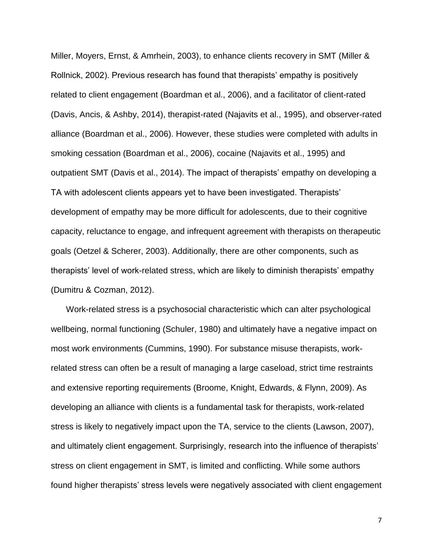Miller, Moyers, Ernst, & Amrhein, 2003), to enhance clients recovery in SMT (Miller & Rollnick, 2002). Previous research has found that therapists' empathy is positively related to client engagement (Boardman et al., 2006), and a facilitator of client-rated (Davis, Ancis, & Ashby, 2014), therapist-rated (Najavits et al., 1995), and observer-rated alliance (Boardman et al., 2006). However, these studies were completed with adults in smoking cessation (Boardman et al., 2006), cocaine (Najavits et al., 1995) and outpatient SMT (Davis et al., 2014). The impact of therapists' empathy on developing a TA with adolescent clients appears yet to have been investigated. Therapists' development of empathy may be more difficult for adolescents, due to their cognitive capacity, reluctance to engage, and infrequent agreement with therapists on therapeutic goals (Oetzel & Scherer, 2003). Additionally, there are other components, such as therapists' level of work-related stress, which are likely to diminish therapists' empathy (Dumitru & Cozman, 2012).

Work-related stress is a psychosocial characteristic which can alter psychological wellbeing, normal functioning (Schuler, 1980) and ultimately have a negative impact on most work environments (Cummins, 1990). For substance misuse therapists, workrelated stress can often be a result of managing a large caseload, strict time restraints and extensive reporting requirements (Broome, Knight, Edwards, & Flynn, 2009). As developing an alliance with clients is a fundamental task for therapists, work-related stress is likely to negatively impact upon the TA, service to the clients (Lawson, 2007), and ultimately client engagement. Surprisingly, research into the influence of therapists' stress on client engagement in SMT, is limited and conflicting. While some authors found higher therapists' stress levels were negatively associated with client engagement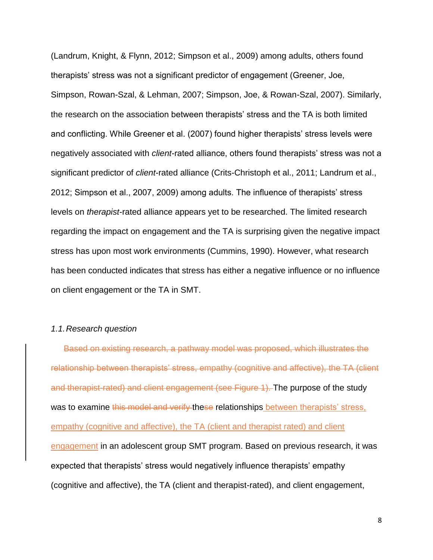(Landrum, Knight, & Flynn, 2012; Simpson et al., 2009) among adults, others found therapists' stress was not a significant predictor of engagement (Greener, Joe, Simpson, Rowan-Szal, & Lehman, 2007; Simpson, Joe, & Rowan-Szal, 2007). Similarly, the research on the association between therapists' stress and the TA is both limited and conflicting. While Greener et al. (2007) found higher therapists' stress levels were negatively associated with *client*-rated alliance, others found therapists' stress was not a significant predictor of *client*-rated alliance (Crits-Christoph et al., 2011; Landrum et al., 2012; Simpson et al., 2007, 2009) among adults. The influence of therapists' stress levels on *therapist*-rated alliance appears yet to be researched. The limited research regarding the impact on engagement and the TA is surprising given the negative impact stress has upon most work environments (Cummins, 1990). However, what research has been conducted indicates that stress has either a negative influence or no influence on client engagement or the TA in SMT.

#### *1.1.Research question*

Based on existing research, a pathway model was proposed, which illustrates the relationship between therapists' stress, empathy (cognitive and affective), the TA (client and therapist-rated) and client engagement (see Figure 1). The purpose of the study was to examine this model and verify these relationships between therapists' stress, empathy (cognitive and affective), the TA (client and therapist rated) and client engagement in an adolescent group SMT program. Based on previous research, it was expected that therapists' stress would negatively influence therapists' empathy (cognitive and affective), the TA (client and therapist-rated), and client engagement,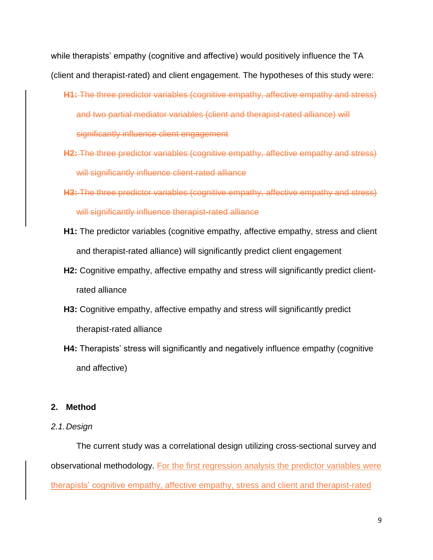while therapists' empathy (cognitive and affective) would positively influence the TA (client and therapist-rated) and client engagement. The hypotheses of this study were:

- **H1:** The three predictor variables (cognitive empathy, affective empathy and stress) and two partial mediator variables (client and therapist-rated alliance) will significantly influence client engagement
- **H2:** The three predictor variables (cognitive empathy, affective empathy and stress) will significantly influence client-rated alliance
- **H3:** The three predictor variables (cognitive empathy, affective empathy and stress) will significantly influence therapist-rated alliance
- **H1:** The predictor variables (cognitive empathy, affective empathy, stress and client and therapist-rated alliance) will significantly predict client engagement
- **H2:** Cognitive empathy, affective empathy and stress will significantly predict clientrated alliance
- **H3:** Cognitive empathy, affective empathy and stress will significantly predict therapist-rated alliance
- **H4:** Therapists' stress will significantly and negatively influence empathy (cognitive and affective)

## **2. Method**

## *2.1.Design*

The current study was a correlational design utilizing cross-sectional survey and observational methodology. For the first regression analysis the predictor variables were therapists' cognitive empathy, affective empathy, stress and client and therapist-rated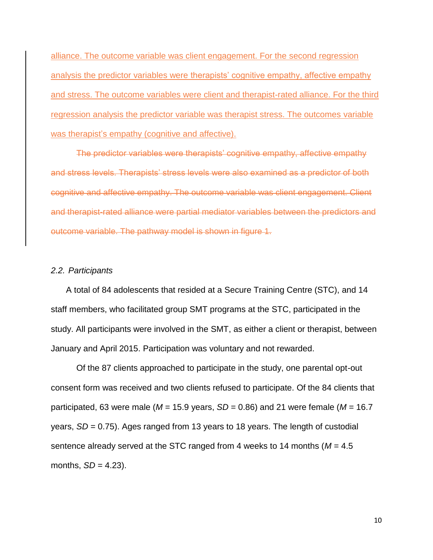alliance. The outcome variable was client engagement. For the second regression analysis the predictor variables were therapists' cognitive empathy, affective empathy and stress. The outcome variables were client and therapist-rated alliance. For the third regression analysis the predictor variable was therapist stress. The outcomes variable was therapist's empathy (cognitive and affective).

The predictor variables were therapists' cognitive empathy, affective empathy and stress levels. Therapists' stress levels were also examined as a predictor of both cognitive and affective empathy. The outcome variable was client engagement. Client and therapist-rated alliance were partial mediator variables between the predictors and outcome variable. The pathway model is shown in figure 1.

## *2.2. Participants*

A total of 84 adolescents that resided at a Secure Training Centre (STC), and 14 staff members, who facilitated group SMT programs at the STC, participated in the study. All participants were involved in the SMT, as either a client or therapist, between January and April 2015. Participation was voluntary and not rewarded.

Of the 87 clients approached to participate in the study, one parental opt-out consent form was received and two clients refused to participate. Of the 84 clients that participated, 63 were male (*M* = 15.9 years, *SD* = 0.86) and 21 were female (*M* = 16.7 years, *SD* = 0.75). Ages ranged from 13 years to 18 years. The length of custodial sentence already served at the STC ranged from 4 weeks to 14 months (*M* = 4.5 months,  $SD = 4.23$ ).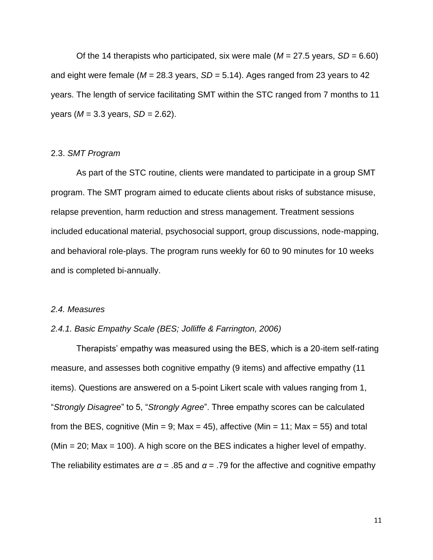Of the 14 therapists who participated, six were male  $(M = 27.5$  years,  $SD = 6.60$ ) and eight were female (*M* = 28.3 years, *SD* = 5.14). Ages ranged from 23 years to 42 years. The length of service facilitating SMT within the STC ranged from 7 months to 11 years (*M* = 3.3 years, *SD =* 2.62).

#### 2.3. *SMT Program*

As part of the STC routine, clients were mandated to participate in a group SMT program. The SMT program aimed to educate clients about risks of substance misuse, relapse prevention, harm reduction and stress management. Treatment sessions included educational material, psychosocial support, group discussions, node-mapping, and behavioral role-plays. The program runs weekly for 60 to 90 minutes for 10 weeks and is completed bi-annually.

#### *2.4. Measures*

#### *2.4.1. Basic Empathy Scale (BES; Jolliffe & Farrington, 2006)*

Therapists' empathy was measured using the BES, which is a 20-item self-rating measure, and assesses both cognitive empathy (9 items) and affective empathy (11 items). Questions are answered on a 5-point Likert scale with values ranging from 1, "*Strongly Disagree*" to 5, "*Strongly Agree*". Three empathy scores can be calculated from the BES, cognitive (Min = 9; Max = 45), affective (Min = 11; Max = 55) and total (Min = 20; Max = 100). A high score on the BES indicates a higher level of empathy. The reliability estimates are  $\alpha$  = .85 and  $\alpha$  = .79 for the affective and cognitive empathy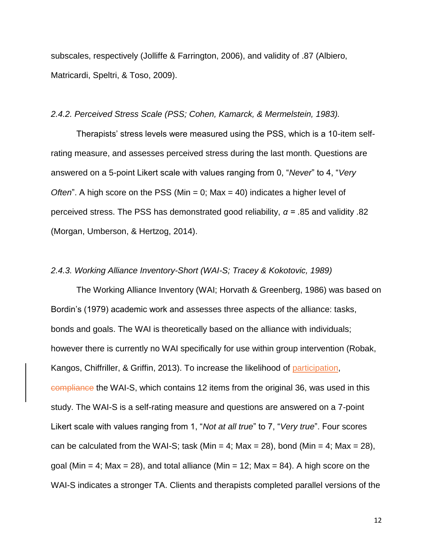subscales, respectively (Jolliffe & Farrington, 2006), and validity of .87 (Albiero, Matricardi, Speltri, & Toso, 2009).

#### *2.4.2. Perceived Stress Scale (PSS; Cohen, Kamarck, & Mermelstein, 1983).*

Therapists' stress levels were measured using the PSS, which is a 10-item selfrating measure, and assesses perceived stress during the last month. Questions are answered on a 5-point Likert scale with values ranging from 0, "*Never*" to 4, "*Very Often*". A high score on the PSS (Min = 0; Max = 40) indicates a higher level of perceived stress. The PSS has demonstrated good reliability, *α =* .85 and validity .82 (Morgan, Umberson, & Hertzog, 2014).

#### *2.4.3. Working Alliance Inventory-Short (WAI-S; Tracey & Kokotovic, 1989)*

The Working Alliance Inventory (WAI; Horvath & Greenberg, 1986) was based on Bordin's (1979) academic work and assesses three aspects of the alliance: tasks, bonds and goals. The WAI is theoretically based on the alliance with individuals; however there is currently no WAI specifically for use within group intervention (Robak, Kangos, Chiffriller, & Griffin, 2013). To increase the likelihood of participation, compliance the WAI-S, which contains 12 items from the original 36, was used in this study. The WAI-S is a self-rating measure and questions are answered on a 7-point Likert scale with values ranging from 1, "*Not at all true*" to 7, "*Very true*". Four scores can be calculated from the WAI-S; task (Min = 4; Max = 28), bond (Min = 4; Max = 28), goal (Min = 4; Max = 28), and total alliance (Min = 12; Max = 84). A high score on the WAI-S indicates a stronger TA. Clients and therapists completed parallel versions of the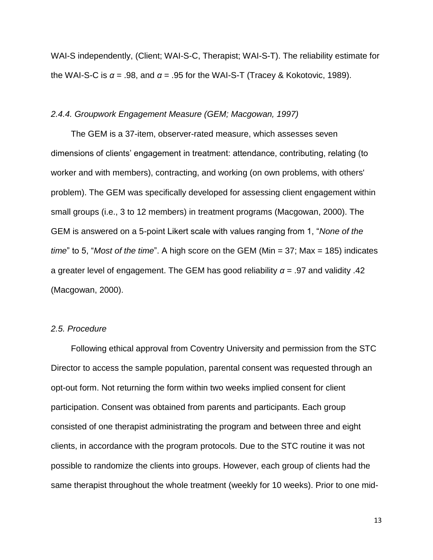WAI-S independently, (Client; WAI-S-C, Therapist; WAI-S-T). The reliability estimate for the WAI-S-C is  $α = .98$ , and  $α = .95$  for the WAI-S-T (Tracey & Kokotovic, 1989).

#### *2.4.4. Groupwork Engagement Measure (GEM; Macgowan, 1997)*

The GEM is a 37-item, observer-rated measure, which assesses seven dimensions of clients' engagement in treatment: attendance, contributing, relating (to worker and with members), contracting, and working (on own problems, with others' problem). The GEM was specifically developed for assessing client engagement within small groups (i.e., 3 to 12 members) in treatment programs (Macgowan, 2000). The GEM is answered on a 5-point Likert scale with values ranging from 1, "*None of the time*" to 5, "*Most of the time*". A high score on the GEM (Min = 37; Max = 185) indicates a greater level of engagement. The GEM has good reliability *α* = .97 and validity .42 (Macgowan, 2000).

#### *2.5. Procedure*

Following ethical approval from Coventry University and permission from the STC Director to access the sample population, parental consent was requested through an opt-out form. Not returning the form within two weeks implied consent for client participation. Consent was obtained from parents and participants. Each group consisted of one therapist administrating the program and between three and eight clients, in accordance with the program protocols. Due to the STC routine it was not possible to randomize the clients into groups. However, each group of clients had the same therapist throughout the whole treatment (weekly for 10 weeks). Prior to one mid-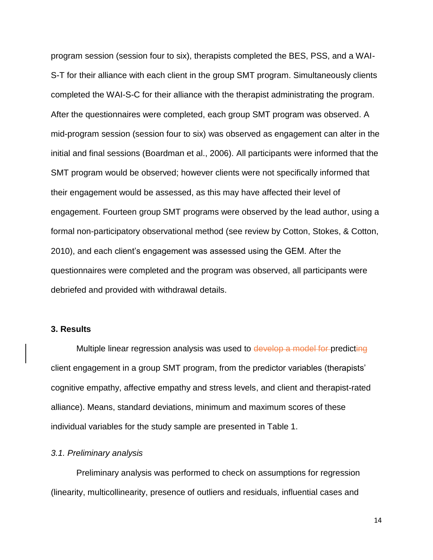program session (session four to six), therapists completed the BES, PSS, and a WAI-S-T for their alliance with each client in the group SMT program. Simultaneously clients completed the WAI-S-C for their alliance with the therapist administrating the program. After the questionnaires were completed, each group SMT program was observed. A mid-program session (session four to six) was observed as engagement can alter in the initial and final sessions (Boardman et al., 2006). All participants were informed that the SMT program would be observed; however clients were not specifically informed that their engagement would be assessed, as this may have affected their level of engagement. Fourteen group SMT programs were observed by the lead author, using a formal non-participatory observational method (see review by Cotton, Stokes, & Cotton, 2010), and each client's engagement was assessed using the GEM. After the questionnaires were completed and the program was observed, all participants were debriefed and provided with withdrawal details.

#### **3. Results**

Multiple linear regression analysis was used to develop a model for predicting client engagement in a group SMT program, from the predictor variables (therapists' cognitive empathy, affective empathy and stress levels, and client and therapist-rated alliance). Means, standard deviations, minimum and maximum scores of these individual variables for the study sample are presented in Table 1.

#### *3.1. Preliminary analysis*

Preliminary analysis was performed to check on assumptions for regression (linearity, multicollinearity, presence of outliers and residuals, influential cases and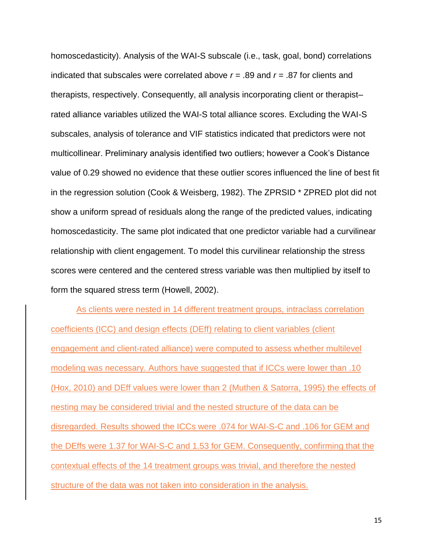homoscedasticity). Analysis of the WAI-S subscale (i.e., task, goal, bond) correlations indicated that subscales were correlated above *r* = .89 and *r* = .87 for clients and therapists, respectively. Consequently, all analysis incorporating client or therapist– rated alliance variables utilized the WAI-S total alliance scores. Excluding the WAI-S subscales, analysis of tolerance and VIF statistics indicated that predictors were not multicollinear. Preliminary analysis identified two outliers; however a Cook's Distance value of 0.29 showed no evidence that these outlier scores influenced the line of best fit in the regression solution (Cook & Weisberg, 1982). The ZPRSID \* ZPRED plot did not show a uniform spread of residuals along the range of the predicted values, indicating homoscedasticity. The same plot indicated that one predictor variable had a curvilinear relationship with client engagement. To model this curvilinear relationship the stress scores were centered and the centered stress variable was then multiplied by itself to form the squared stress term (Howell, 2002).

As clients were nested in 14 different treatment groups, intraclass correlation coefficients (ICC) and design effects (DEff) relating to client variables (client engagement and client-rated alliance) were computed to assess whether multilevel modeling was necessary. Authors have suggested that if ICCs were lower than .10 (Hox, 2010) and DEff values were lower than 2 (Muthen & Satorra, 1995) the effects of nesting may be considered trivial and the nested structure of the data can be disregarded. Results showed the ICCs were .074 for WAI-S-C and .106 for GEM and the DEffs were 1.37 for WAI-S-C and 1.53 for GEM. Consequently, confirming that the contextual effects of the 14 treatment groups was trivial, and therefore the nested structure of the data was not taken into consideration in the analysis.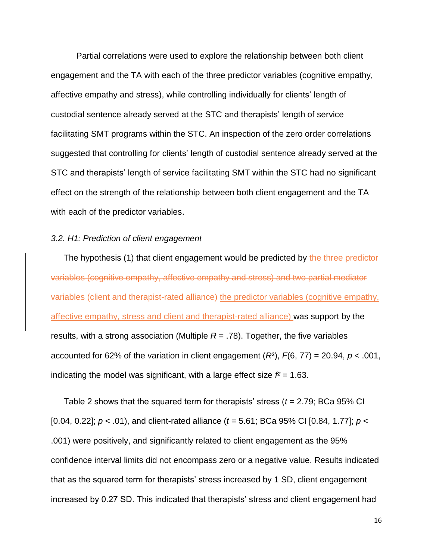Partial correlations were used to explore the relationship between both client engagement and the TA with each of the three predictor variables (cognitive empathy, affective empathy and stress), while controlling individually for clients' length of custodial sentence already served at the STC and therapists' length of service facilitating SMT programs within the STC. An inspection of the zero order correlations suggested that controlling for clients' length of custodial sentence already served at the STC and therapists' length of service facilitating SMT within the STC had no significant effect on the strength of the relationship between both client engagement and the TA with each of the predictor variables.

#### *3.2. H1: Prediction of client engagement*

The hypothesis (1) that client engagement would be predicted by the three predictor variables (cognitive empathy, affective empathy and stress) and two partial mediator variables (client and therapist-rated alliance) the predictor variables (cognitive empathy, affective empathy, stress and client and therapist-rated alliance) was support by the results, with a strong association (Multiple  $R = .78$ ). Together, the five variables accounted for 62% of the variation in client engagement (*R*²), *F*(6, 77) = 20.94, *p* < .001, indicating the model was significant, with a large effect size  $f^2 = 1.63$ .

Table 2 shows that the squared term for therapists' stress (*t* = 2.79; BCa 95% CI [0.04, 0.22]; *p* < .01), and client-rated alliance (*t* = 5.61; BCa 95% CI [0.84, 1.77]; *p* < .001) were positively, and significantly related to client engagement as the 95% confidence interval limits did not encompass zero or a negative value. Results indicated that as the squared term for therapists' stress increased by 1 SD, client engagement increased by 0.27 SD. This indicated that therapists' stress and client engagement had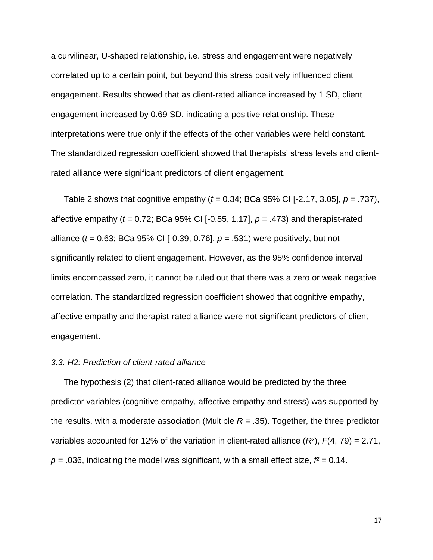a curvilinear, U-shaped relationship, i.e. stress and engagement were negatively correlated up to a certain point, but beyond this stress positively influenced client engagement. Results showed that as client-rated alliance increased by 1 SD, client engagement increased by 0.69 SD, indicating a positive relationship. These interpretations were true only if the effects of the other variables were held constant. The standardized regression coefficient showed that therapists' stress levels and clientrated alliance were significant predictors of client engagement.

Table 2 shows that cognitive empathy (*t* = 0.34; BCa 95% CI [-2.17, 3.05], *p* = .737), affective empathy (*t* = 0.72; BCa 95% CI [-0.55, 1.17], *p* = .473) and therapist-rated alliance (*t* = 0.63; BCa 95% CI [-0.39, 0.76], *p* = .531) were positively, but not significantly related to client engagement. However, as the 95% confidence interval limits encompassed zero, it cannot be ruled out that there was a zero or weak negative correlation. The standardized regression coefficient showed that cognitive empathy, affective empathy and therapist-rated alliance were not significant predictors of client engagement.

## *3.3. H2: Prediction of client-rated alliance*

The hypothesis (2) that client-rated alliance would be predicted by the three predictor variables (cognitive empathy, affective empathy and stress) was supported by the results, with a moderate association (Multiple *R* = .35). Together, the three predictor variables accounted for 12% of the variation in client-rated alliance (*R*²), *F*(4, 79) = 2.71,  $p = 0.036$ , indicating the model was significant, with a small effect size,  $f^2 = 0.14$ .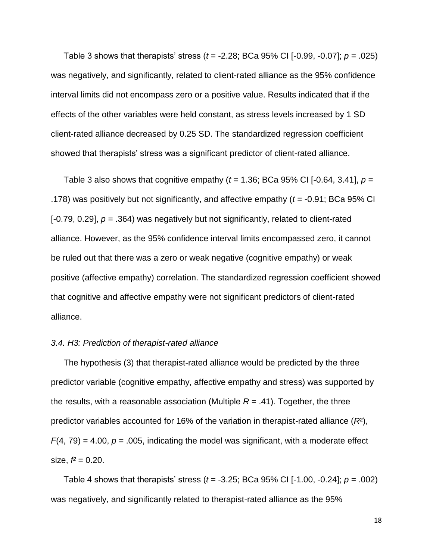Table 3 shows that therapists' stress (*t* = -2.28; BCa 95% CI [-0.99, -0.07]; *p* = .025) was negatively, and significantly, related to client-rated alliance as the 95% confidence interval limits did not encompass zero or a positive value. Results indicated that if the effects of the other variables were held constant, as stress levels increased by 1 SD client-rated alliance decreased by 0.25 SD. The standardized regression coefficient showed that therapists' stress was a significant predictor of client-rated alliance.

Table 3 also shows that cognitive empathy  $(t = 1.36; BCa 95\% CI [-0.64, 3.41], p =$ .178) was positively but not significantly, and affective empathy (*t* = -0.91; BCa 95% CI [-0.79, 0.29],  $p = .364$ ) was negatively but not significantly, related to client-rated alliance. However, as the 95% confidence interval limits encompassed zero, it cannot be ruled out that there was a zero or weak negative (cognitive empathy) or weak positive (affective empathy) correlation. The standardized regression coefficient showed that cognitive and affective empathy were not significant predictors of client-rated alliance.

#### *3.4. H3: Prediction of therapist-rated alliance*

The hypothesis (3) that therapist-rated alliance would be predicted by the three predictor variable (cognitive empathy, affective empathy and stress) was supported by the results, with a reasonable association (Multiple  $R = .41$ ). Together, the three predictor variables accounted for 16% of the variation in therapist-rated alliance (*R*²),  $F(4, 79) = 4.00$ ,  $p = 0.005$ , indicating the model was significant, with a moderate effect size,  $f^2 = 0.20$ .

Table 4 shows that therapists' stress (*t* = -3.25; BCa 95% CI [-1.00, -0.24]; *p* = .002) was negatively, and significantly related to therapist-rated alliance as the 95%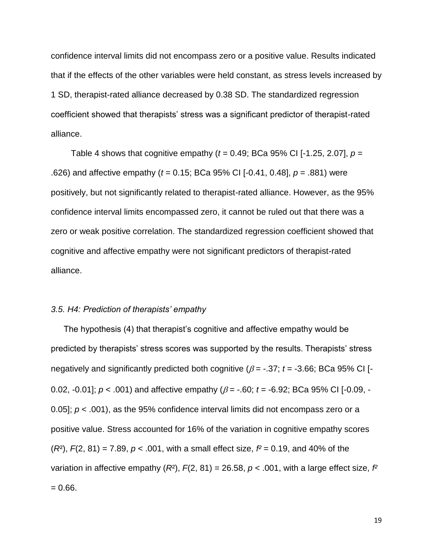confidence interval limits did not encompass zero or a positive value. Results indicated that if the effects of the other variables were held constant, as stress levels increased by 1 SD, therapist-rated alliance decreased by 0.38 SD. The standardized regression coefficient showed that therapists' stress was a significant predictor of therapist-rated alliance.

Table 4 shows that cognitive empathy  $(t = 0.49; BCa 95\% \text{ CI}$  [-1.25, 2.07],  $p =$ .626) and affective empathy (*t* = 0.15; BCa 95% CI [-0.41, 0.48], *p* = .881) were positively, but not significantly related to therapist-rated alliance. However, as the 95% confidence interval limits encompassed zero, it cannot be ruled out that there was a zero or weak positive correlation. The standardized regression coefficient showed that cognitive and affective empathy were not significant predictors of therapist-rated alliance.

#### *3.5. H4: Prediction of therapists' empathy*

The hypothesis (4) that therapist's cognitive and affective empathy would be predicted by therapists' stress scores was supported by the results. Therapists' stress negatively and significantly predicted both cognitive ( $\beta$  = -.37;  $t$  = -3.66; BCa 95% CI [-0.02, -0.01];  $p < .001$  and affective empathy ( $\beta = -.60$ ;  $t = -6.92$ ; BCa 95% CI [-0.09, -0.05]; *p* < .001), as the 95% confidence interval limits did not encompass zero or a positive value. Stress accounted for 16% of the variation in cognitive empathy scores (*R*²), *F*(2, 81) = 7.89, *p* < .001, with a small effect size, *f²* = 0.19, and 40% of the variation in affective empathy  $(R^2)$ ,  $F(2, 81) = 26.58$ ,  $p < .001$ , with a large effect size,  $f^2$  $= 0.66.$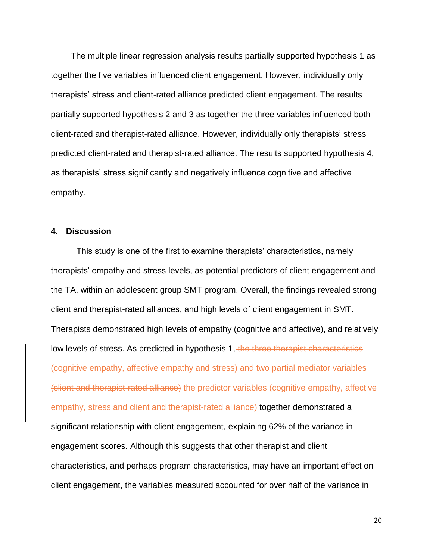The multiple linear regression analysis results partially supported hypothesis 1 as together the five variables influenced client engagement. However, individually only therapists' stress and client-rated alliance predicted client engagement. The results partially supported hypothesis 2 and 3 as together the three variables influenced both client-rated and therapist-rated alliance. However, individually only therapists' stress predicted client-rated and therapist-rated alliance. The results supported hypothesis 4, as therapists' stress significantly and negatively influence cognitive and affective empathy.

#### **4. Discussion**

This study is one of the first to examine therapists' characteristics, namely therapists' empathy and stress levels, as potential predictors of client engagement and the TA, within an adolescent group SMT program. Overall, the findings revealed strong client and therapist-rated alliances, and high levels of client engagement in SMT. Therapists demonstrated high levels of empathy (cognitive and affective), and relatively low levels of stress. As predicted in hypothesis 1, the three therapist characteristics (cognitive empathy, affective empathy and stress) and two partial mediator variables (client and therapist-rated alliance) the predictor variables (cognitive empathy, affective empathy, stress and client and therapist-rated alliance) together demonstrated a significant relationship with client engagement, explaining 62% of the variance in engagement scores. Although this suggests that other therapist and client characteristics, and perhaps program characteristics, may have an important effect on client engagement, the variables measured accounted for over half of the variance in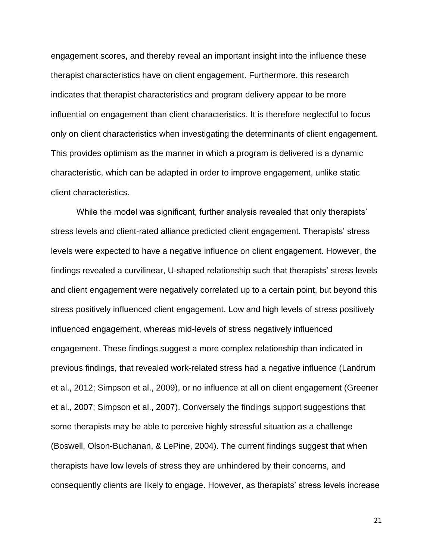engagement scores, and thereby reveal an important insight into the influence these therapist characteristics have on client engagement. Furthermore, this research indicates that therapist characteristics and program delivery appear to be more influential on engagement than client characteristics. It is therefore neglectful to focus only on client characteristics when investigating the determinants of client engagement. This provides optimism as the manner in which a program is delivered is a dynamic characteristic, which can be adapted in order to improve engagement, unlike static client characteristics.

While the model was significant, further analysis revealed that only therapists' stress levels and client-rated alliance predicted client engagement. Therapists' stress levels were expected to have a negative influence on client engagement. However, the findings revealed a curvilinear, U-shaped relationship such that therapists' stress levels and client engagement were negatively correlated up to a certain point, but beyond this stress positively influenced client engagement. Low and high levels of stress positively influenced engagement, whereas mid-levels of stress negatively influenced engagement. These findings suggest a more complex relationship than indicated in previous findings, that revealed work-related stress had a negative influence (Landrum et al., 2012; Simpson et al., 2009), or no influence at all on client engagement (Greener et al., 2007; Simpson et al., 2007). Conversely the findings support suggestions that some therapists may be able to perceive highly stressful situation as a challenge (Boswell, Olson-Buchanan, & LePine, 2004). The current findings suggest that when therapists have low levels of stress they are unhindered by their concerns, and consequently clients are likely to engage. However, as therapists' stress levels increase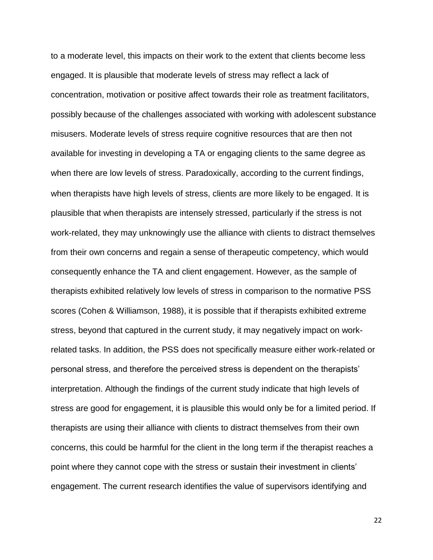to a moderate level, this impacts on their work to the extent that clients become less engaged. It is plausible that moderate levels of stress may reflect a lack of concentration, motivation or positive affect towards their role as treatment facilitators, possibly because of the challenges associated with working with adolescent substance misusers. Moderate levels of stress require cognitive resources that are then not available for investing in developing a TA or engaging clients to the same degree as when there are low levels of stress. Paradoxically, according to the current findings, when therapists have high levels of stress, clients are more likely to be engaged. It is plausible that when therapists are intensely stressed, particularly if the stress is not work-related, they may unknowingly use the alliance with clients to distract themselves from their own concerns and regain a sense of therapeutic competency, which would consequently enhance the TA and client engagement. However, as the sample of therapists exhibited relatively low levels of stress in comparison to the normative PSS scores (Cohen & Williamson, 1988), it is possible that if therapists exhibited extreme stress, beyond that captured in the current study, it may negatively impact on workrelated tasks. In addition, the PSS does not specifically measure either work-related or personal stress, and therefore the perceived stress is dependent on the therapists' interpretation. Although the findings of the current study indicate that high levels of stress are good for engagement, it is plausible this would only be for a limited period. If therapists are using their alliance with clients to distract themselves from their own concerns, this could be harmful for the client in the long term if the therapist reaches a point where they cannot cope with the stress or sustain their investment in clients' engagement. The current research identifies the value of supervisors identifying and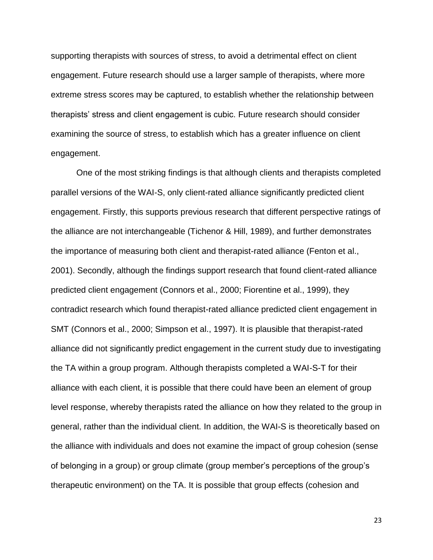supporting therapists with sources of stress, to avoid a detrimental effect on client engagement. Future research should use a larger sample of therapists, where more extreme stress scores may be captured, to establish whether the relationship between therapists' stress and client engagement is cubic. Future research should consider examining the source of stress, to establish which has a greater influence on client engagement.

 One of the most striking findings is that although clients and therapists completed parallel versions of the WAI-S, only client-rated alliance significantly predicted client engagement. Firstly, this supports previous research that different perspective ratings of the alliance are not interchangeable (Tichenor & Hill, 1989), and further demonstrates the importance of measuring both client and therapist-rated alliance (Fenton et al., 2001). Secondly, although the findings support research that found client-rated alliance predicted client engagement (Connors et al., 2000; Fiorentine et al., 1999), they contradict research which found therapist-rated alliance predicted client engagement in SMT (Connors et al., 2000; Simpson et al., 1997). It is plausible that therapist-rated alliance did not significantly predict engagement in the current study due to investigating the TA within a group program. Although therapists completed a WAI-S-T for their alliance with each client, it is possible that there could have been an element of group level response, whereby therapists rated the alliance on how they related to the group in general, rather than the individual client. In addition, the WAI-S is theoretically based on the alliance with individuals and does not examine the impact of group cohesion (sense of belonging in a group) or group climate (group member's perceptions of the group's therapeutic environment) on the TA. It is possible that group effects (cohesion and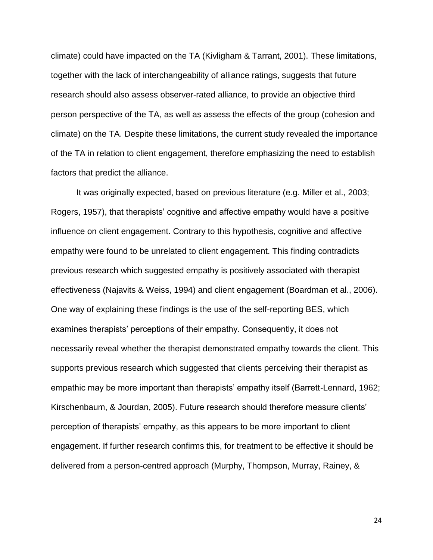climate) could have impacted on the TA (Kivligham & Tarrant, 2001). These limitations, together with the lack of interchangeability of alliance ratings, suggests that future research should also assess observer-rated alliance, to provide an objective third person perspective of the TA, as well as assess the effects of the group (cohesion and climate) on the TA. Despite these limitations, the current study revealed the importance of the TA in relation to client engagement, therefore emphasizing the need to establish factors that predict the alliance.

It was originally expected, based on previous literature (e.g. Miller et al., 2003; Rogers, 1957), that therapists' cognitive and affective empathy would have a positive influence on client engagement. Contrary to this hypothesis, cognitive and affective empathy were found to be unrelated to client engagement. This finding contradicts previous research which suggested empathy is positively associated with therapist effectiveness (Najavits & Weiss, 1994) and client engagement (Boardman et al., 2006). One way of explaining these findings is the use of the self-reporting BES, which examines therapists' perceptions of their empathy. Consequently, it does not necessarily reveal whether the therapist demonstrated empathy towards the client. This supports previous research which suggested that clients perceiving their therapist as empathic may be more important than therapists' empathy itself (Barrett-Lennard, 1962; Kirschenbaum, & Jourdan, 2005). Future research should therefore measure clients' perception of therapists' empathy, as this appears to be more important to client engagement. If further research confirms this, for treatment to be effective it should be delivered from a person-centred approach (Murphy, Thompson, Murray, Rainey, &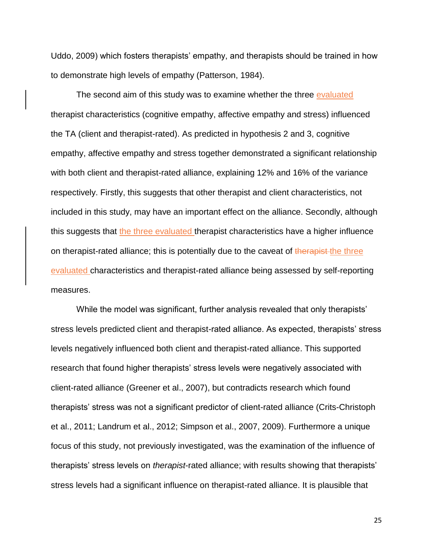Uddo, 2009) which fosters therapists' empathy, and therapists should be trained in how to demonstrate high levels of empathy (Patterson, 1984).

The second aim of this study was to examine whether the three evaluated therapist characteristics (cognitive empathy, affective empathy and stress) influenced the TA (client and therapist-rated). As predicted in hypothesis 2 and 3, cognitive empathy, affective empathy and stress together demonstrated a significant relationship with both client and therapist-rated alliance, explaining 12% and 16% of the variance respectively. Firstly, this suggests that other therapist and client characteristics, not included in this study, may have an important effect on the alliance. Secondly, although this suggests that the three evaluated therapist characteristics have a higher influence on therapist-rated alliance; this is potentially due to the caveat of the rapist-the three evaluated characteristics and therapist-rated alliance being assessed by self-reporting measures.

While the model was significant, further analysis revealed that only therapists' stress levels predicted client and therapist-rated alliance. As expected, therapists' stress levels negatively influenced both client and therapist-rated alliance. This supported research that found higher therapists' stress levels were negatively associated with client-rated alliance (Greener et al., 2007), but contradicts research which found therapists' stress was not a significant predictor of client-rated alliance (Crits-Christoph et al., 2011; Landrum et al., 2012; Simpson et al., 2007, 2009). Furthermore a unique focus of this study, not previously investigated, was the examination of the influence of therapists' stress levels on *therapist*-rated alliance; with results showing that therapists' stress levels had a significant influence on therapist-rated alliance. It is plausible that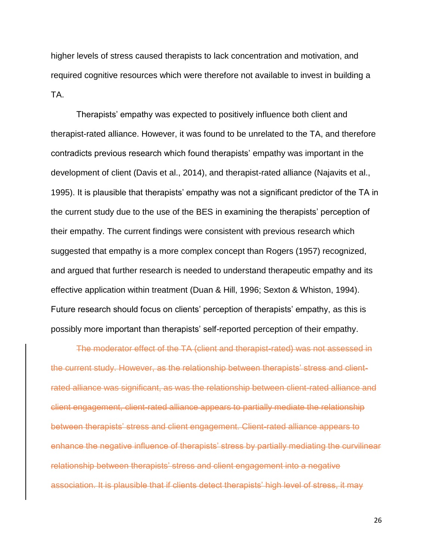higher levels of stress caused therapists to lack concentration and motivation, and required cognitive resources which were therefore not available to invest in building a TA.

Therapists' empathy was expected to positively influence both client and therapist-rated alliance. However, it was found to be unrelated to the TA, and therefore contradicts previous research which found therapists' empathy was important in the development of client (Davis et al., 2014), and therapist-rated alliance (Najavits et al., 1995). It is plausible that therapists' empathy was not a significant predictor of the TA in the current study due to the use of the BES in examining the therapists' perception of their empathy. The current findings were consistent with previous research which suggested that empathy is a more complex concept than Rogers (1957) recognized, and argued that further research is needed to understand therapeutic empathy and its effective application within treatment (Duan & Hill, 1996; Sexton & Whiston, 1994). Future research should focus on clients' perception of therapists' empathy, as this is possibly more important than therapists' self-reported perception of their empathy.

The moderator effect of the TA (client and therapist-rated) was not assessed in the current study. However, as the relationship between therapists' stress and clientrated alliance was significant, as was the relationship between client-rated alliance and client engagement, client-rated alliance appears to partially mediate the relationship between therapists' stress and client engagement. Client-rated alliance appears to enhance the negative influence of therapists' stress by partially mediating the curvilinear relationship between therapists' stress and client engagement into a negative association. It is plausible that if clients detect therapists' high level of stress, it may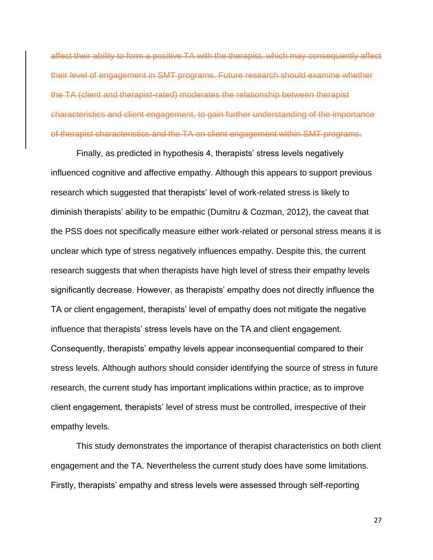affect their ability to form a positive TA with the therapist, which may consequently affect their level of engagement in SMT programs. Future research should examine whether the TA (client and therapist-rated) moderates the relationship between therapist characteristics and client engagement, to gain further understanding of the importance of therapist characteristics and the TA on client engagement within SMT programs.

Finally, as predicted in hypothesis 4, therapists' stress levels negatively influenced cognitive and affective empathy. Although this appears to support previous research which suggested that therapists' level of work-related stress is likely to diminish therapists' ability to be empathic (Dumitru & Cozman, 2012), the caveat that the PSS does not specifically measure either work-related or personal stress means it is unclear which type of stress negatively influences empathy. Despite this, the current research suggests that when therapists have high level of stress their empathy levels significantly decrease. However, as therapists' empathy does not directly influence the TA or client engagement, therapists' level of empathy does not mitigate the negative influence that therapists' stress levels have on the TA and client engagement. Consequently, therapists' empathy levels appear inconsequential compared to their stress levels. Although authors should consider identifying the source of stress in future research, the current study has important implications within practice, as to improve client engagement, therapists' level of stress must be controlled, irrespective of their empathy levels.

This study demonstrates the importance of therapist characteristics on both client engagement and the TA. Nevertheless the current study does have some limitations. Firstly, therapists' empathy and stress levels were assessed through self-reporting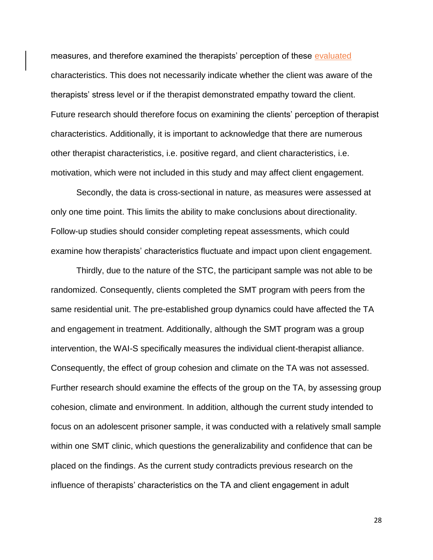measures, and therefore examined the therapists' perception of these evaluated characteristics. This does not necessarily indicate whether the client was aware of the therapists' stress level or if the therapist demonstrated empathy toward the client. Future research should therefore focus on examining the clients' perception of therapist characteristics. Additionally, it is important to acknowledge that there are numerous other therapist characteristics, i.e. positive regard, and client characteristics, i.e. motivation, which were not included in this study and may affect client engagement.

Secondly, the data is cross-sectional in nature, as measures were assessed at only one time point. This limits the ability to make conclusions about directionality. Follow-up studies should consider completing repeat assessments, which could examine how therapists' characteristics fluctuate and impact upon client engagement.

Thirdly, due to the nature of the STC, the participant sample was not able to be randomized. Consequently, clients completed the SMT program with peers from the same residential unit. The pre-established group dynamics could have affected the TA and engagement in treatment. Additionally, although the SMT program was a group intervention, the WAI-S specifically measures the individual client-therapist alliance. Consequently, the effect of group cohesion and climate on the TA was not assessed. Further research should examine the effects of the group on the TA, by assessing group cohesion, climate and environment. In addition, although the current study intended to focus on an adolescent prisoner sample, it was conducted with a relatively small sample within one SMT clinic, which questions the generalizability and confidence that can be placed on the findings. As the current study contradicts previous research on the influence of therapists' characteristics on the TA and client engagement in adult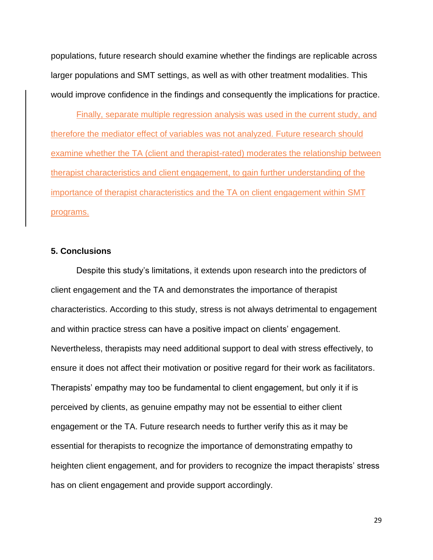populations, future research should examine whether the findings are replicable across larger populations and SMT settings, as well as with other treatment modalities. This would improve confidence in the findings and consequently the implications for practice.

Finally, separate multiple regression analysis was used in the current study, and therefore the mediator effect of variables was not analyzed. Future research should examine whether the TA (client and therapist-rated) moderates the relationship between therapist characteristics and client engagement, to gain further understanding of the importance of therapist characteristics and the TA on client engagement within SMT programs.

# **5. Conclusions**

Despite this study's limitations, it extends upon research into the predictors of client engagement and the TA and demonstrates the importance of therapist characteristics. According to this study, stress is not always detrimental to engagement and within practice stress can have a positive impact on clients' engagement. Nevertheless, therapists may need additional support to deal with stress effectively, to ensure it does not affect their motivation or positive regard for their work as facilitators. Therapists' empathy may too be fundamental to client engagement, but only it if is perceived by clients, as genuine empathy may not be essential to either client engagement or the TA. Future research needs to further verify this as it may be essential for therapists to recognize the importance of demonstrating empathy to heighten client engagement, and for providers to recognize the impact therapists' stress has on client engagement and provide support accordingly.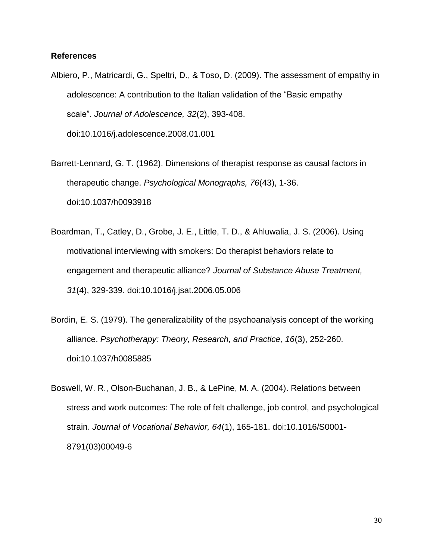# **References**

- Albiero, P., Matricardi, G., Speltri, D., & Toso, D. (2009). The assessment of empathy in adolescence: A contribution to the Italian validation of the "Basic empathy scale". *Journal of Adolescence, 32*(2), 393-408. doi:10.1016/j.adolescence.2008.01.001
- Barrett-Lennard, G. T. (1962). Dimensions of therapist response as causal factors in therapeutic change. *Psychological Monographs, 76*(43), 1-36. doi:10.1037/h0093918
- Boardman, T., Catley, D., Grobe, J. E., Little, T. D., & Ahluwalia, J. S. (2006). Using motivational interviewing with smokers: Do therapist behaviors relate to engagement and therapeutic alliance? *Journal of Substance Abuse Treatment, 31*(4), 329-339. doi:10.1016/j.jsat.2006.05.006
- Bordin, E. S. (1979). The generalizability of the psychoanalysis concept of the working alliance. *Psychotherapy: Theory, Research, and Practice, 16*(3), 252-260. doi:10.1037/h0085885
- Boswell, W. R., Olson-Buchanan, J. B., & LePine, M. A. (2004). Relations between stress and work outcomes: The role of felt challenge, job control, and psychological strain. *Journal of Vocational Behavior, 64*(1), 165-181. doi:10.1016/S0001- 8791(03)00049-6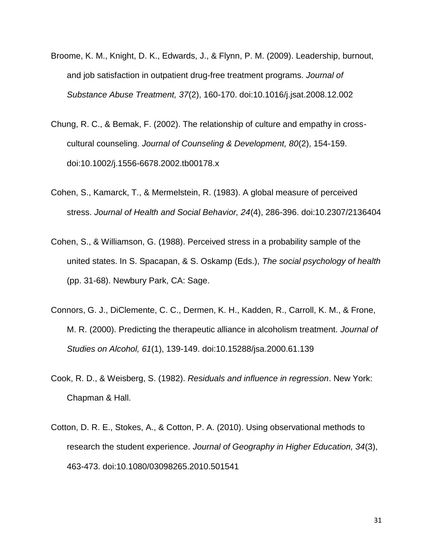- Broome, K. M., Knight, D. K., Edwards, J., & Flynn, P. M. (2009). Leadership, burnout, and job satisfaction in outpatient drug-free treatment programs. *Journal of Substance Abuse Treatment, 37*(2), 160-170. doi:10.1016/j.jsat.2008.12.002
- Chung, R. C., & Bemak, F. (2002). The relationship of culture and empathy in crosscultural counseling. *Journal of Counseling & Development, 80*(2), 154-159. doi:10.1002/j.1556-6678.2002.tb00178.x
- Cohen, S., Kamarck, T., & Mermelstein, R. (1983). A global measure of perceived stress. *Journal of Health and Social Behavior, 24*(4), 286-396. doi:10.2307/2136404
- Cohen, S., & Williamson, G. (1988). Perceived stress in a probability sample of the united states. In S. Spacapan, & S. Oskamp (Eds.), *The social psychology of health* (pp. 31-68). Newbury Park, CA: Sage.
- Connors, G. J., DiClemente, C. C., Dermen, K. H., Kadden, R., Carroll, K. M., & Frone, M. R. (2000). Predicting the therapeutic alliance in alcoholism treatment. *Journal of Studies on Alcohol, 61*(1), 139-149. doi:10.15288/jsa.2000.61.139
- Cook, R. D., & Weisberg, S. (1982). *Residuals and influence in regression*. New York: Chapman & Hall.
- Cotton, D. R. E., Stokes, A., & Cotton, P. A. (2010). Using observational methods to research the student experience. *Journal of Geography in Higher Education, 34*(3), 463-473. doi:10.1080/03098265.2010.501541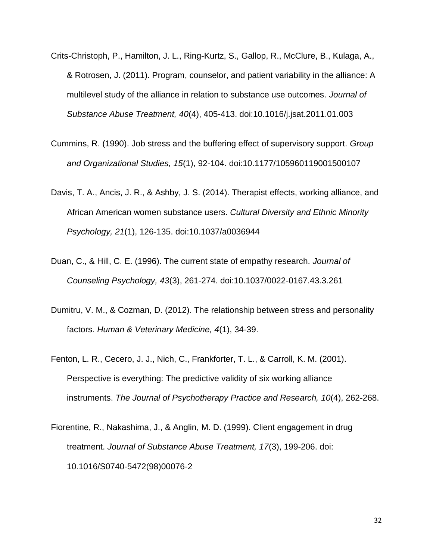- Crits-Christoph, P., Hamilton, J. L., Ring-Kurtz, S., Gallop, R., McClure, B., Kulaga, A., & Rotrosen, J. (2011). Program, counselor, and patient variability in the alliance: A multilevel study of the alliance in relation to substance use outcomes. *Journal of Substance Abuse Treatment, 40*(4), 405-413. doi:10.1016/j.jsat.2011.01.003
- Cummins, R. (1990). Job stress and the buffering effect of supervisory support. *Group and Organizational Studies, 15*(1), 92-104. doi:10.1177/105960119001500107
- Davis, T. A., Ancis, J. R., & Ashby, J. S. (2014). Therapist effects, working alliance, and African American women substance users. *Cultural Diversity and Ethnic Minority Psychology, 21*(1), 126-135. doi:10.1037/a0036944
- Duan, C., & Hill, C. E. (1996). The current state of empathy research. *Journal of Counseling Psychology, 43*(3), 261-274. doi:10.1037/0022-0167.43.3.261
- Dumitru, V. M., & Cozman, D. (2012). The relationship between stress and personality factors. *Human & Veterinary Medicine, 4*(1), 34-39.
- Fenton, L. R., Cecero, J. J., Nich, C., Frankforter, T. L., & Carroll, K. M. (2001). Perspective is everything: The predictive validity of six working alliance instruments. *The Journal of Psychotherapy Practice and Research, 10*(4), 262-268.
- Fiorentine, R., Nakashima, J., & Anglin, M. D. (1999). Client engagement in drug treatment. *Journal of Substance Abuse Treatment, 17*(3), 199-206. doi: 10.1016/S0740-5472(98)00076-2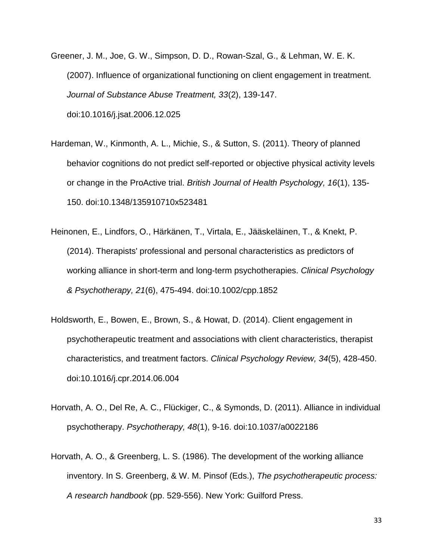- Greener, J. M., Joe, G. W., Simpson, D. D., Rowan-Szal, G., & Lehman, W. E. K. (2007). Influence of organizational functioning on client engagement in treatment. *Journal of Substance Abuse Treatment, 33*(2), 139-147. doi:10.1016/j.jsat.2006.12.025
- Hardeman, W., Kinmonth, A. L., Michie, S., & Sutton, S. (2011). Theory of planned behavior cognitions do not predict self-reported or objective physical activity levels or change in the ProActive trial. *British Journal of Health Psychology, 16*(1), 135- 150. doi:10.1348/135910710x523481
- Heinonen, E., Lindfors, O., Härkänen, T., Virtala, E., Jääskeläinen, T., & Knekt, P. (2014). Therapists' professional and personal characteristics as predictors of working alliance in short-term and long-term psychotherapies. *Clinical Psychology & Psychotherapy, 21*(6), 475-494. doi:10.1002/cpp.1852
- Holdsworth, E., Bowen, E., Brown, S., & Howat, D. (2014). Client engagement in psychotherapeutic treatment and associations with client characteristics, therapist characteristics, and treatment factors. *Clinical Psychology Review, 34*(5), 428-450. doi:10.1016/j.cpr.2014.06.004
- Horvath, A. O., Del Re, A. C., Flückiger, C., & Symonds, D. (2011). Alliance in individual psychotherapy. *Psychotherapy, 48*(1), 9-16. doi:10.1037/a0022186
- Horvath, A. O., & Greenberg, L. S. (1986). The development of the working alliance inventory. In S. Greenberg, & W. M. Pinsof (Eds.), *The psychotherapeutic process: A research handbook* (pp. 529-556). New York: Guilford Press.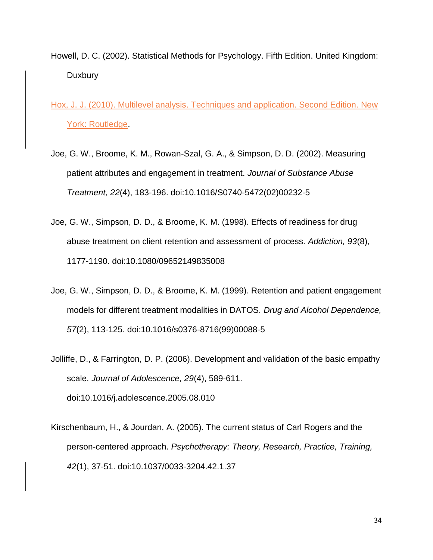Howell, D. C. (2002). Statistical Methods for Psychology. Fifth Edition. United Kingdom: **Duxbury** 

Hox, J. J. (2010). Multilevel analysis. Techniques and application. Second Edition. New York: Routledge.

- Joe, G. W., Broome, K. M., Rowan-Szal, G. A., & Simpson, D. D. (2002). Measuring patient attributes and engagement in treatment. *Journal of Substance Abuse Treatment, 22*(4), 183-196. doi:10.1016/S0740-5472(02)00232-5
- Joe, G. W., Simpson, D. D., & Broome, K. M. (1998). Effects of readiness for drug abuse treatment on client retention and assessment of process. *Addiction, 93*(8), 1177-1190. doi:10.1080/09652149835008
- Joe, G. W., Simpson, D. D., & Broome, K. M. (1999). Retention and patient engagement models for different treatment modalities in DATOS. *Drug and Alcohol Dependence, 57*(2), 113-125. doi:10.1016/s0376-8716(99)00088-5
- Jolliffe, D., & Farrington, D. P. (2006). Development and validation of the basic empathy scale. *Journal of Adolescence, 29*(4), 589-611. doi:10.1016/j.adolescence.2005.08.010
- Kirschenbaum, H., & Jourdan, A. (2005). The current status of Carl Rogers and the person-centered approach. *Psychotherapy: Theory, Research, Practice, Training, 42*(1), 37-51. doi:10.1037/0033-3204.42.1.37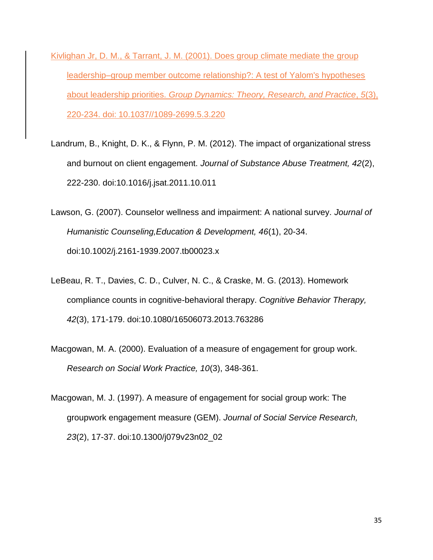Kivlighan Jr, D. M., & Tarrant, J. M. (2001). Does group climate mediate the group leadership–group member outcome relationship?: A test of Yalom's hypotheses about leadership priorities. *Group Dynamics: Theory, Research, and Practice*, *5*(3), 220-234. doi: 10.1037//1089-2699.5.3.220

- Landrum, B., Knight, D. K., & Flynn, P. M. (2012). The impact of organizational stress and burnout on client engagement. *Journal of Substance Abuse Treatment, 42*(2), 222-230. doi:10.1016/j.jsat.2011.10.011
- Lawson, G. (2007). Counselor wellness and impairment: A national survey. *Journal of Humanistic Counseling,Education & Development, 46*(1), 20-34. doi:10.1002/j.2161-1939.2007.tb00023.x
- LeBeau, R. T., Davies, C. D., Culver, N. C., & Craske, M. G. (2013). Homework compliance counts in cognitive-behavioral therapy. *Cognitive Behavior Therapy, 42*(3), 171-179. doi:10.1080/16506073.2013.763286
- Macgowan, M. A. (2000). Evaluation of a measure of engagement for group work. *Research on Social Work Practice, 10*(3), 348-361.
- Macgowan, M. J. (1997). A measure of engagement for social group work: The groupwork engagement measure (GEM). *Journal of Social Service Research, 23*(2), 17-37. doi:10.1300/j079v23n02\_02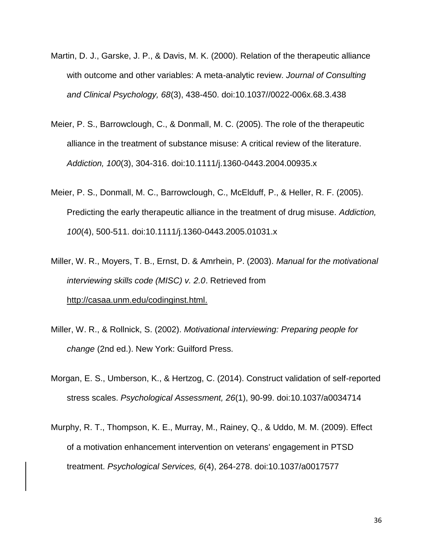- Martin, D. J., Garske, J. P., & Davis, M. K. (2000). Relation of the therapeutic alliance with outcome and other variables: A meta-analytic review. *Journal of Consulting and Clinical Psychology, 68*(3), 438-450. doi:10.1037//0022-006x.68.3.438
- Meier, P. S., Barrowclough, C., & Donmall, M. C. (2005). The role of the therapeutic alliance in the treatment of substance misuse: A critical review of the literature. *Addiction, 100*(3), 304-316. doi:10.1111/j.1360-0443.2004.00935.x
- Meier, P. S., Donmall, M. C., Barrowclough, C., McElduff, P., & Heller, R. F. (2005). Predicting the early therapeutic alliance in the treatment of drug misuse. *Addiction, 100*(4), 500-511. doi:10.1111/j.1360-0443.2005.01031.x
- Miller, W. R., Moyers, T. B., Ernst, D. & Amrhein, P. (2003). *Manual for the motivational interviewing skills code (MISC) v. 2.0*. Retrieved from http://casaa.unm.edu/codinginst.html.
- Miller, W. R., & Rollnick, S. (2002). *Motivational interviewing: Preparing people for change* (2nd ed.). New York: Guilford Press.
- Morgan, E. S., Umberson, K., & Hertzog, C. (2014). Construct validation of self-reported stress scales. *Psychological Assessment, 26*(1), 90-99. doi:10.1037/a0034714
- Murphy, R. T., Thompson, K. E., Murray, M., Rainey, Q., & Uddo, M. M. (2009). Effect of a motivation enhancement intervention on veterans' engagement in PTSD treatment. *Psychological Services, 6*(4), 264-278. doi:10.1037/a0017577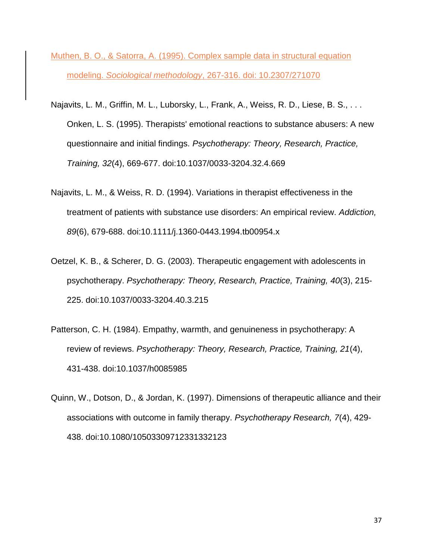- Muthen, B. O., & Satorra, A. (1995). Complex sample data in structural equation modeling. *Sociological methodology*, 267-316. doi: 10.2307/271070
- Najavits, L. M., Griffin, M. L., Luborsky, L., Frank, A., Weiss, R. D., Liese, B. S., . . . Onken, L. S. (1995). Therapists' emotional reactions to substance abusers: A new questionnaire and initial findings. *Psychotherapy: Theory, Research, Practice, Training, 32*(4), 669-677. doi:10.1037/0033-3204.32.4.669
- Najavits, L. M., & Weiss, R. D. (1994). Variations in therapist effectiveness in the treatment of patients with substance use disorders: An empirical review. *Addiction, 89*(6), 679-688. doi:10.1111/j.1360-0443.1994.tb00954.x
- Oetzel, K. B., & Scherer, D. G. (2003). Therapeutic engagement with adolescents in psychotherapy. *Psychotherapy: Theory, Research, Practice, Training, 40*(3), 215- 225. doi:10.1037/0033-3204.40.3.215
- Patterson, C. H. (1984). Empathy, warmth, and genuineness in psychotherapy: A review of reviews. *Psychotherapy: Theory, Research, Practice, Training, 21*(4), 431-438. doi:10.1037/h0085985
- Quinn, W., Dotson, D., & Jordan, K. (1997). Dimensions of therapeutic alliance and their associations with outcome in family therapy. *Psychotherapy Research, 7*(4), 429- 438. doi:10.1080/10503309712331332123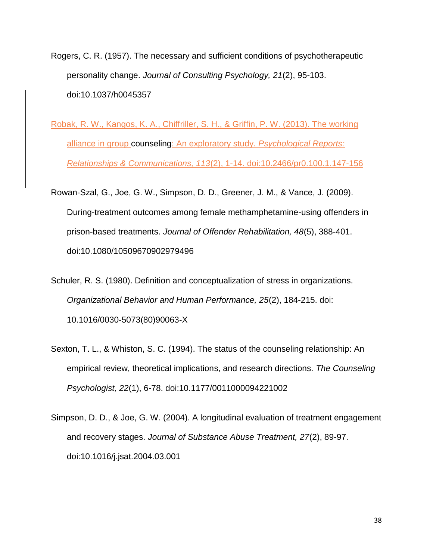- Rogers, C. R. (1957). The necessary and sufficient conditions of psychotherapeutic personality change. *Journal of Consulting Psychology, 21*(2), 95-103. doi:10.1037/h0045357
- Robak, R. W., Kangos, K. A., Chiffriller, S. H., & Griffin, P. W. (2013). The working alliance in group counseling: An exploratory study. *Psychological Reports: Relationships & Communications, 113*(2), 1-14. doi:10.2466/pr0.100.1.147-156
- Rowan-Szal, G., Joe, G. W., Simpson, D. D., Greener, J. M., & Vance, J. (2009). During-treatment outcomes among female methamphetamine-using offenders in prison-based treatments. *Journal of Offender Rehabilitation, 48*(5), 388-401. doi:10.1080/10509670902979496
- Schuler, R. S. (1980). Definition and conceptualization of stress in organizations. *Organizational Behavior and Human Performance, 25*(2), 184-215. doi: 10.1016/0030-5073(80)90063-X
- Sexton, T. L., & Whiston, S. C. (1994). The status of the counseling relationship: An empirical review, theoretical implications, and research directions. *The Counseling Psychologist, 22*(1), 6-78. doi:10.1177/0011000094221002
- Simpson, D. D., & Joe, G. W. (2004). A longitudinal evaluation of treatment engagement and recovery stages. *Journal of Substance Abuse Treatment, 27*(2), 89-97. doi:10.1016/j.jsat.2004.03.001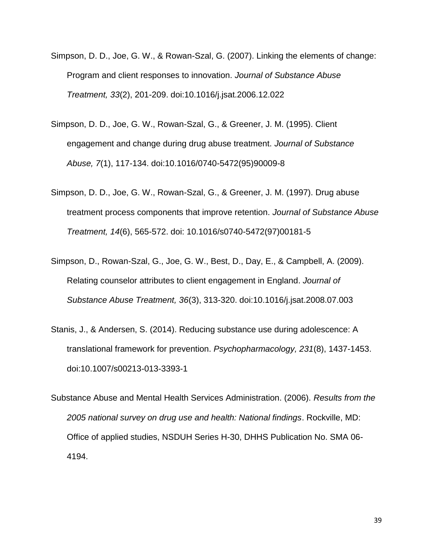- Simpson, D. D., Joe, G. W., & Rowan-Szal, G. (2007). Linking the elements of change: Program and client responses to innovation. *Journal of Substance Abuse Treatment, 33*(2), 201-209. doi:10.1016/j.jsat.2006.12.022
- Simpson, D. D., Joe, G. W., Rowan-Szal, G., & Greener, J. M. (1995). Client engagement and change during drug abuse treatment. *Journal of Substance Abuse, 7*(1), 117-134. doi:10.1016/0740-5472(95)90009-8
- Simpson, D. D., Joe, G. W., Rowan-Szal, G., & Greener, J. M. (1997). Drug abuse treatment process components that improve retention. *Journal of Substance Abuse Treatment, 14*(6), 565-572. doi: 10.1016/s0740-5472(97)00181-5
- Simpson, D., Rowan-Szal, G., Joe, G. W., Best, D., Day, E., & Campbell, A. (2009). Relating counselor attributes to client engagement in England. *Journal of Substance Abuse Treatment, 36*(3), 313-320. doi:10.1016/j.jsat.2008.07.003
- Stanis, J., & Andersen, S. (2014). Reducing substance use during adolescence: A translational framework for prevention. *Psychopharmacology, 231*(8), 1437-1453. doi:10.1007/s00213-013-3393-1
- Substance Abuse and Mental Health Services Administration. (2006). *Results from the 2005 national survey on drug use and health: National findings*. Rockville, MD: Office of applied studies, NSDUH Series H-30, DHHS Publication No. SMA 06- 4194.